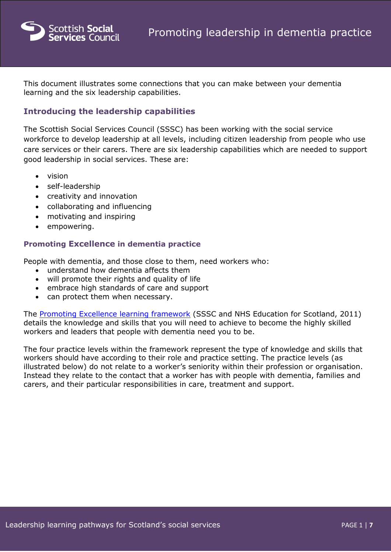

This document illustrates some connections that you can make between your dementia learning and the six leadership capabilities.

### **Introducing the leadership capabilities**

The Scottish Social Services Council (SSSC) has been working with the social service workforce to develop leadership at all levels, including citizen leadership from people who use care services or their carers. There are six leadership capabilities which are needed to support good leadership in social services. These are:

- vision
- self-leadership
- creativity and innovation
- collaborating and influencing
- motivating and inspiring
- empowering.

#### **Promoting Excellence in dementia practice**

People with dementia, and those close to them, need workers who:

- understand how dementia affects them
- will promote their rights and quality of life
- embrace high standards of care and support
- can protect them when necessary.

The [Promoting Excellence learning framework](http://www.gov.scot/Publications/2011/05/31085332/0) (SSSC and NHS Education for Scotland, 2011) details the knowledge and skills that you will need to achieve to become the highly skilled workers and leaders that people with dementia need you to be.

The four practice levels within the framework represent the type of knowledge and skills that workers should have according to their role and practice setting. The practice levels (as illustrated below) do not relate to a worker's seniority within their profession or organisation. Instead they relate to the contact that a worker has with people with dementia, families and carers, and their particular responsibilities in care, treatment and support.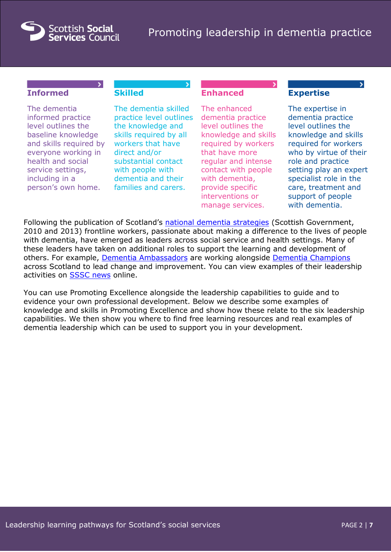

## **Informed**

# **Skilled**

The dementia informed practice level outlines the baseline knowledge and skills required by everyone working in health and social service settings, including in a person's own home.

The dementia skilled practice level outlines the knowledge and skills required by all workers that have direct and/or substantial contact with people with dementia and their families and carers.

## **Enhanced**

The enhanced dementia practice level outlines the knowledge and skills required by workers that have more regular and intense contact with people with dementia, provide specific interventions or manage services.

### **Expertise**

The expertise in dementia practice level outlines the knowledge and skills required for workers who by virtue of their role and practice setting play an expert specialist role in the care, treatment and support of people with dementia.

Following the publication of Scotland's [national dementia strategies](http://www.gov.scot/Topics/Health/Services/Mental-Health/Dementia) (Scottish Government, 2010 and 2013) frontline workers, passionate about making a difference to the lives of people with dementia, have emerged as leaders across social service and health settings. Many of these leaders have taken on additional roles to support the learning and development of others. For example, [Dementia Ambassadors](http://www.sssc.uk.com/workforce-development/supporting-your-development/dementia-ambassadors) are working alongside [Dementia Champions](http://www.nes.scot.nhs.uk/education-and-training/by-theme-initiative/mental-health-and-learning-disabilities/our-work/dementia/dementia-champions-programme.aspx) across Scotland to lead change and improvement. You can view examples of their leadership activities on [SSSC news](http://ssscnews.uk.com/tag/dementia/) online.

You can use Promoting Excellence alongside the leadership capabilities to guide and to evidence your own professional development. Below we describe some examples of knowledge and skills in Promoting Excellence and show how these relate to the six leadership capabilities. We then show you where to find free learning resources and real examples of dementia leadership which can be used to support you in your development.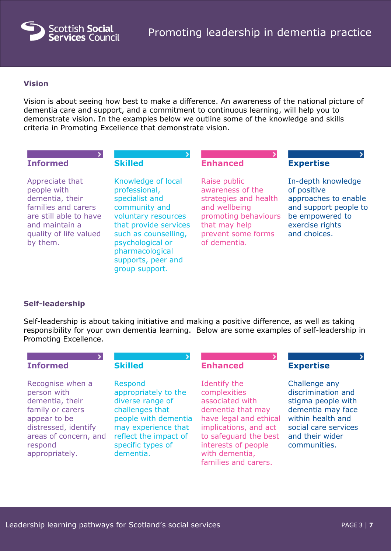

#### **Vision**

Vision is about seeing how best to make a difference. An awareness of the national picture of dementia care and support, and a commitment to continuous learning, will help you to demonstrate vision. In the examples below we outline some of the knowledge and skills criteria in Promoting Excellence that demonstrate vision.

| <b>Informed</b>                                                                                                                                            | <b>Skilled</b>                                                                                                                                                                                                                | <b>Enhanced</b>                                                                                                                                           | <b>Expertise</b>                                                                                                                         |
|------------------------------------------------------------------------------------------------------------------------------------------------------------|-------------------------------------------------------------------------------------------------------------------------------------------------------------------------------------------------------------------------------|-----------------------------------------------------------------------------------------------------------------------------------------------------------|------------------------------------------------------------------------------------------------------------------------------------------|
| Appreciate that<br>people with<br>dementia, their<br>families and carers<br>are still able to have<br>and maintain a<br>quality of life valued<br>by them. | Knowledge of local<br>professional,<br>specialist and<br>community and<br>voluntary resources<br>that provide services<br>such as counselling,<br>psychological or<br>pharmacological<br>supports, peer and<br>group support. | Raise public<br>awareness of the<br>strategies and health<br>and wellbeing<br>promoting behaviours<br>that may help<br>prevent some forms<br>of dementia. | In-depth knowledge<br>of positive<br>approaches to enable<br>and support people to<br>be empowered to<br>exercise rights<br>and choices. |

#### **Self-leadership**

Self-leadership is about taking initiative and making a positive difference, as well as taking responsibility for your own dementia learning. Below are some examples of self-leadership in Promoting Excellence.

| <b>Informed</b>                                                                                                                                                      | <b>Skilled</b>                                                                                                                                                                   | <b>Enhanced</b>                                                                                                                                                                                                   | <b>Expertise</b>                                                                                                                                               |
|----------------------------------------------------------------------------------------------------------------------------------------------------------------------|----------------------------------------------------------------------------------------------------------------------------------------------------------------------------------|-------------------------------------------------------------------------------------------------------------------------------------------------------------------------------------------------------------------|----------------------------------------------------------------------------------------------------------------------------------------------------------------|
| Recognise when a<br>person with<br>dementia, their<br>family or carers<br>appear to be<br>distressed, identify<br>areas of concern, and<br>respond<br>appropriately. | Respond<br>appropriately to the<br>diverse range of<br>challenges that<br>people with dementia<br>may experience that<br>reflect the impact of<br>specific types of<br>dementia. | Identify the<br>complexities<br>associated with<br>dementia that may<br>have legal and ethical<br>implications, and act<br>to safeguard the best<br>interests of people<br>with dementia,<br>families and carers. | Challenge any<br>discrimination and<br>stigma people with<br>dementia may face<br>within health and<br>social care services<br>and their wider<br>communities. |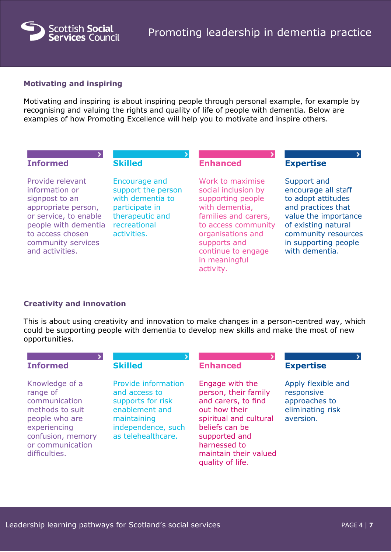

### **Motivating and inspiring**

Motivating and inspiring is about inspiring people through personal example, for example by recognising and valuing the rights and quality of life of people with dementia. Below are examples of how Promoting Excellence will help you to motivate and inspire others.

| <b>Informed</b>                                                                                                                                                                           | <b>Skilled</b>                                                                                                              | <b>Enhanced</b>                                                                                                                                                                                                        | <b>Expertise</b>                                                                                                                                                                               |
|-------------------------------------------------------------------------------------------------------------------------------------------------------------------------------------------|-----------------------------------------------------------------------------------------------------------------------------|------------------------------------------------------------------------------------------------------------------------------------------------------------------------------------------------------------------------|------------------------------------------------------------------------------------------------------------------------------------------------------------------------------------------------|
| Provide relevant<br>information or<br>signpost to an<br>appropriate person,<br>or service, to enable<br>people with dementia<br>to access chosen<br>community services<br>and activities. | Encourage and<br>support the person<br>with dementia to<br>participate in<br>therapeutic and<br>recreational<br>activities. | Work to maximise<br>social inclusion by<br>supporting people<br>with dementia,<br>families and carers,<br>to access community<br>organisations and<br>supports and<br>continue to engage<br>in meaningful<br>activity. | Support and<br>encourage all staff<br>to adopt attitudes<br>and practices that<br>value the importance<br>of existing natural<br>community resources<br>in supporting people<br>with dementia. |

#### **Creativity and innovation**

This is about using creativity and innovation to make changes in a person-centred way, which could be supporting people with dementia to develop new skills and make the most of new opportunities.

| <b>Informed</b>                                                                                                                                            | <b>Skilled</b>                                                                                                                         | <b>Enhanced</b>                                                                                                                                                                                           | <b>Expertise</b>                                                                   |
|------------------------------------------------------------------------------------------------------------------------------------------------------------|----------------------------------------------------------------------------------------------------------------------------------------|-----------------------------------------------------------------------------------------------------------------------------------------------------------------------------------------------------------|------------------------------------------------------------------------------------|
| Knowledge of a<br>range of<br>communication<br>methods to suit<br>people who are<br>experiencing<br>confusion, memory<br>or communication<br>difficulties. | Provide information<br>and access to<br>supports for risk<br>enablement and<br>maintaining<br>independence, such<br>as telehealthcare. | Engage with the<br>person, their family<br>and carers, to find<br>out how their<br>spiritual and cultural<br>beliefs can be<br>supported and<br>harnessed to<br>maintain their valued<br>quality of life. | Apply flexible and<br>responsive<br>approaches to<br>eliminating risk<br>aversion. |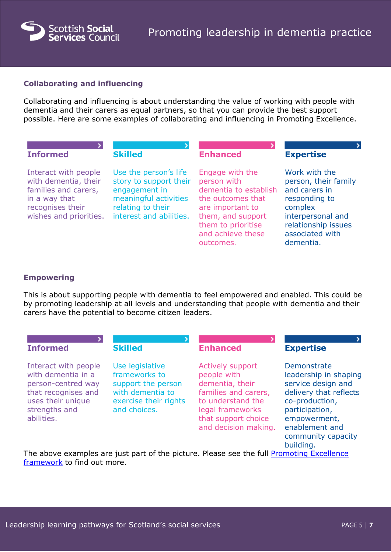

### **Collaborating and influencing**

Collaborating and influencing is about understanding the value of working with people with dementia and their carers as equal partners, so that you can provide the best support possible. Here are some examples of collaborating and influencing in Promoting Excellence.

| <b>Informed</b>                                                                                                                     | <b>Skilled</b>                                                                                                                            | <b>Enhanced</b>                                                                                                                                                               | <b>Expertise</b>                                                                                                                                               |
|-------------------------------------------------------------------------------------------------------------------------------------|-------------------------------------------------------------------------------------------------------------------------------------------|-------------------------------------------------------------------------------------------------------------------------------------------------------------------------------|----------------------------------------------------------------------------------------------------------------------------------------------------------------|
| Interact with people<br>with dementia, their<br>families and carers,<br>in a way that<br>recognises their<br>wishes and priorities. | Use the person's life<br>story to support their<br>engagement in<br>meaningful activities<br>relating to their<br>interest and abilities. | Engage with the<br>person with<br>dementia to establish<br>the outcomes that<br>are important to<br>them, and support<br>them to prioritise<br>and achieve these<br>outcomes. | Work with the<br>person, their family<br>and carers in<br>responding to<br>complex<br>interpersonal and<br>relationship issues<br>associated with<br>dementia. |

#### **Empowering**

This is about supporting people with dementia to feel empowered and enabled. This could be by promoting leadership at all levels and understanding that people with dementia and their carers have the potential to become citizen leaders.

| <b>Informed</b>                                                                                                                             | <b>Skilled</b>                                                                                                      | <b>Enhanced</b>                                                                                                                                                           | <b>Expertise</b>                                                                                                                                                                              |
|---------------------------------------------------------------------------------------------------------------------------------------------|---------------------------------------------------------------------------------------------------------------------|---------------------------------------------------------------------------------------------------------------------------------------------------------------------------|-----------------------------------------------------------------------------------------------------------------------------------------------------------------------------------------------|
| Interact with people<br>with dementia in a<br>person-centred way<br>that recognises and<br>uses their unique<br>strengths and<br>abilities. | Use legislative<br>frameworks to<br>support the person<br>with dementia to<br>exercise their rights<br>and choices. | <b>Actively support</b><br>people with<br>dementia, their<br>families and carers,<br>to understand the<br>legal frameworks<br>that support choice<br>and decision making. | Demonstrate<br>leadership in shaping<br>service design and<br>delivery that reflects<br>co-production,<br>participation,<br>empowerment,<br>enablement and<br>community capacity<br>building. |

The above examples are just part of the picture. Please see the full Promoting Excellence [framework](http://www.gov.scot/Publications/2011/05/31085332/0) to find out more.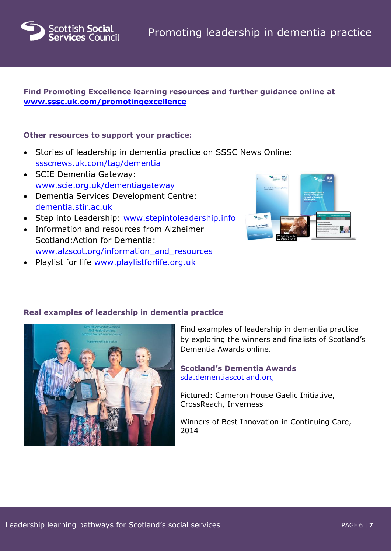

### **Find Promoting Excellence learning resources and further guidance online at [www.sssc.uk.com/promotingexcellence](http://www.sssc.uk.com/promotingexcellence)**

### **Other resources to support your practice:**

- Stories of leadership in dementia practice on SSSC News Online: [ssscnews.uk.com/tag/dementia](http://ssscnews.uk.com/tag/dementia)
- SCIE Dementia Gateway: [www.scie.org.uk/dementiagateway](http://www.scie.org.uk/dementiagateway)
- Dementia Services Development Centre: [dementia.stir.ac.uk](http://dementia.stir.ac.uk/)
- Step into Leadership: [www.stepintoleadership.info](http://www.stepintoleadership.info/)
- Information and resources from Alzheimer Scotland:Action for Dementia: [www.alzscot.org/information\\_and\\_resources](http://www.alzscot.org/information_and_resources)
- Playlist for life [www.playlistforlife.org.uk](http://www.playlistforlife.org.uk/)



# **Real examples of leadership in dementia practice**



Find examples of leadership in dementia practice by exploring the winners and finalists of Scotland's Dementia Awards online.

**Scotland's Dementia Awards** [sda.dementiascotland.org](http://www.sda.dementiascotland.org/) 

Pictured: Cameron House Gaelic Initiative, CrossReach, Inverness

Winners of Best Innovation in Continuing Care, 2014